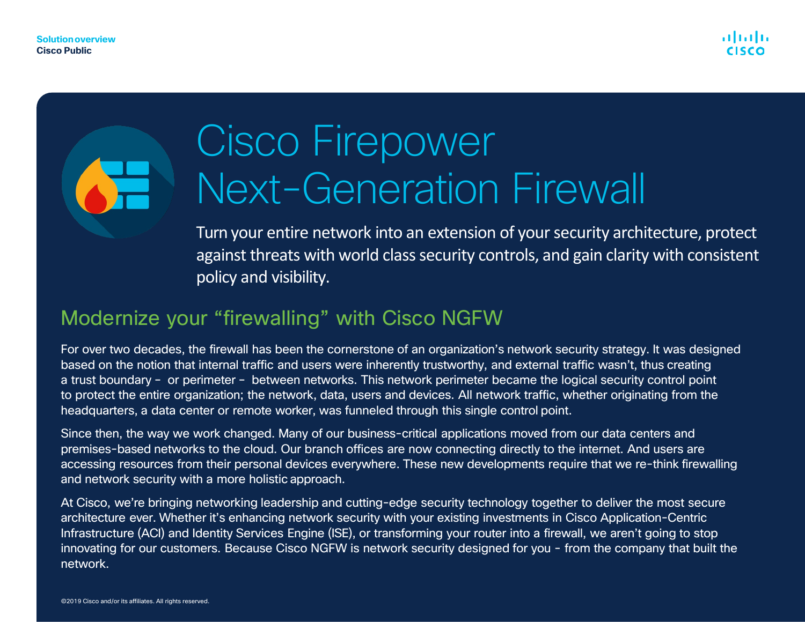# Cisco Firepower Next-Generation Firewall

Turn your entire network into an extension of your security architecture, protect against threats with world class security controls, and gain clarity with consistent policy and visibility.

### Modernize your "firewalling" with Cisco NGFW

For over two decades, the firewall has been the cornerstone of an organization's network security strategy. It was designed based on the notion that internal traffic and users were inherently trustworthy, and external traffic wasn't, thus creating a trust boundary – or perimeter – between networks. This network perimeter became the logical security control point to protect the entire organization; the network, data, users and devices. All network traffic, whether originating from the headquarters, a data center or remote worker, was funneled through this single control point.

Since then, the way we work changed. Many of our business-critical applications moved from our data centers and premises-based networks to the cloud. Our branch offices are now connecting directly to the internet. And users are accessing resources from their personal devices everywhere. These new developments require that we re-think firewalling and network security with a more holistic approach.

At Cisco, we're bringing networking leadership and cutting-edge security technology together to deliver the most secure architecture ever. Whether it's enhancing network security with your existing investments in Cisco Application-Centric Infrastructure (ACI) and Identity Services Engine (ISE), or transforming your router into a firewall, we aren't going to stop innovating for our customers. Because Cisco NGFW is network security designed for you - from the company that built the network.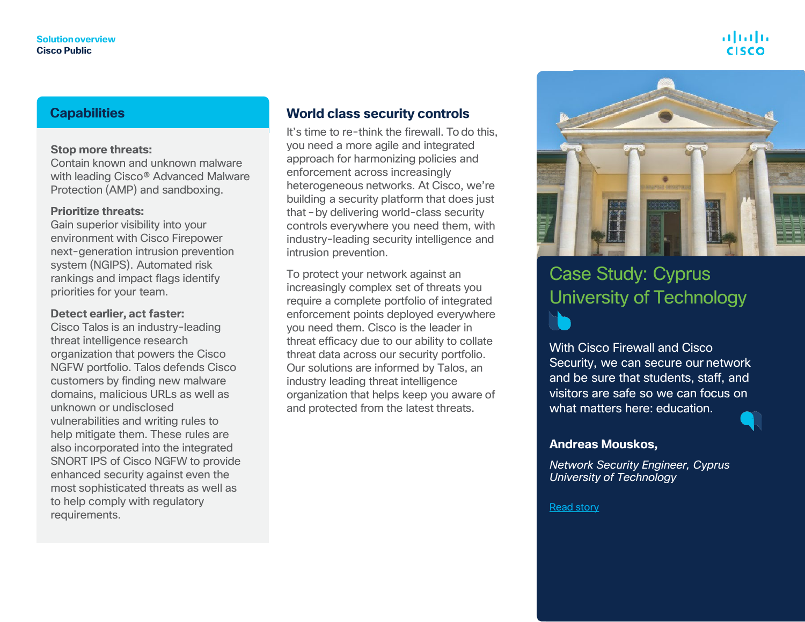#### alulu **CISCO**

#### **Capabilities**

#### **Stop more threats:**

Contain known and unknown malware with leading Cisco® Advanced Malware Protection (AMP) and sandboxing.

#### **Prioritize threats:**

Gain superior visibility into your environment with Cisco Firepower next-generation intrusion prevention system (NGIPS). Automated risk rankings and impact flags identify priorities for your team.

#### **Detect earlier, act faster:**

Cisco Talos is an industry-leading threat intelligence research organization that powers the Cisco NGFW portfolio. Talos defends Cisco customers by finding new malware domains, malicious URLs as well as unknown or undisclosed vulnerabilities and writing rules to help mitigate them. These rules are also incorporated into the integrated SNORT IPS of Cisco NGFW to provide enhanced security against even the most sophisticated threats as well as to help comply with regulatory requirements.

#### **World class security controls**

It's time to re-think the firewall. To do this, you need a more agile and integrated approach for harmonizing policies and enforcement across increasingly heterogeneous networks. At Cisco, we're building a security platform that does just that –by delivering world-class security controls everywhere you need them, with industry-leading security intelligence and intrusion prevention.

To protect your network against an increasingly complex set of threats you require a complete portfolio of integrated enforcement points deployed everywhere you need them. Cisco is the leader in threat efficacy due to our ability to collate threat data across our security portfolio. Our solutions are informed by Talos, an industry leading threat intelligence organization that helps keep you aware of and protected from the latest threats.



#### Case Study: Cyprus University of Technology N

With Cisco Firewall and Cisco Security, we can secure our network and be sure that students, staff, and visitors are safe so we can focus on what matters here: education.



#### **Andreas Mouskos,**

*Network Security Engineer, Cyprus University of Technology*

#### [Read](https://www.cisco.com/c/dam/en/us/products/collateral/security/firewalls/cyprus-university-testimonial-ngfw.pdf) story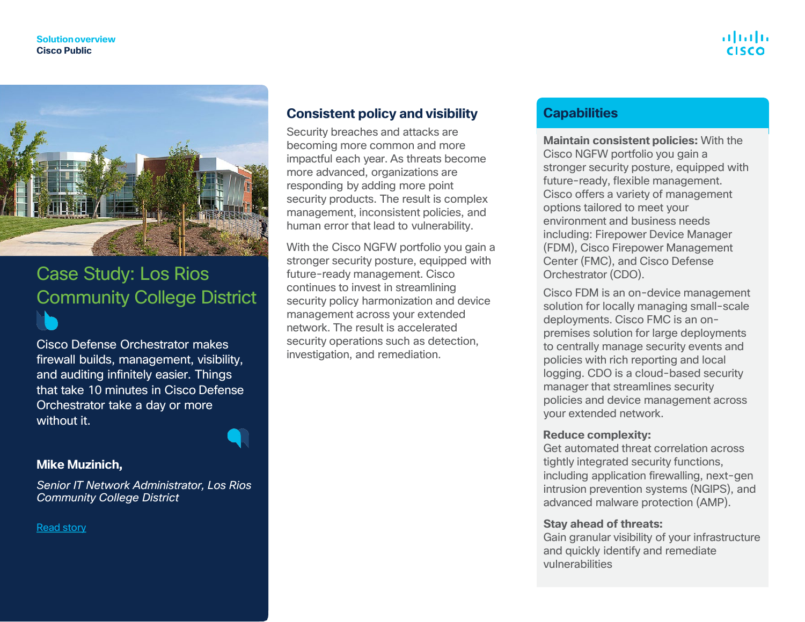

### Case Study: Los Rios Community College District

Cisco Defense Orchestrator makes firewall builds, management, visibility, and auditing infinitely easier. Things that take 10 minutes in Cisco Defense Orchestrator take a day or more without it.

#### **Mike Muzinich,**

*Senior IT Network Administrator, Los Rios Community College District*

[Read](https://www.cisco.com/c/dam/en/us/products/collateral/security/defense-orchestrator/los-rios-community-college-case-study.pdf?ccid=c000155&dtid=odicdc000016&oid=csysc016175) story

#### **Consistent policy and visibility**

Security breaches and attacks are becoming more common and more impactful each year. As threats become more advanced, organizations are responding by adding more point security products. The result is complex management, inconsistent policies, and human error that lead to vulnerability.

With the Cisco NGFW portfolio you gain a stronger security posture, equipped with future-ready management. Cisco continues to invest in streamlining security policy harmonization and device management across your extended network. The result is accelerated security operations such as detection. investigation, and remediation.

#### **Capabilities**

**Maintain consistent policies:** With the Cisco NGFW portfolio you gain a stronger security posture, equipped with future-ready, flexible management. Cisco offers a variety of management options tailored to meet your environment and business needs including: Firepower Device Manager (FDM), Cisco Firepower Management Center (FMC), and Cisco Defense Orchestrator (CDO).

Cisco FDM is an on-device management solution for locally managing small-scale deployments. Cisco FMC is an onpremises solution for large deployments to centrally manage security events and policies with rich reporting and local logging. CDO is a cloud-based security manager that streamlines security policies and device management across your extended network.

#### **Reduce complexity:**

Get automated threat correlation across tightly integrated security functions, including application firewalling, next-gen intrusion prevention systems (NGIPS), and advanced malware protection (AMP).

#### **Stay ahead of threats:**

Gain granular visibility of your infrastructure and quickly identify and remediate vulnerabilities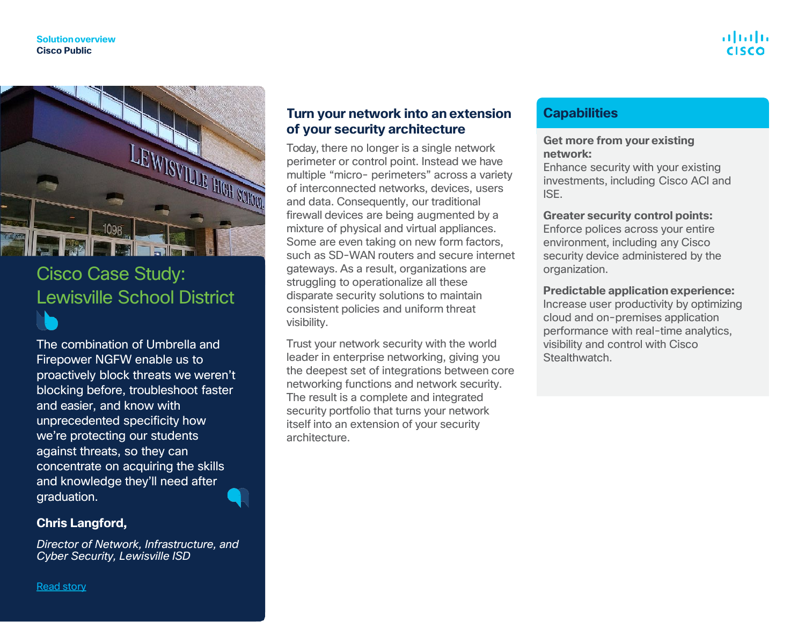

### Cisco Case Study: Lewisville School District

The combination of Umbrella and Firepower NGFW enable us to proactively block threats we weren't blocking before, troubleshoot faster and easier, and know with unprecedented specificity how we're protecting our students against threats, so they can concentrate on acquiring the skills and knowledge they'll need after graduation.

#### **Chris Langford,**

*Director of Network, Infrastructure, and Cyber Security, Lewisville ISD*

#### **Turn your network into an extension of your security architecture**

Today, there no longer is a single network perimeter or control point. Instead we have multiple "micro- perimeters" across a variety of interconnected networks, devices, users and data. Consequently, our traditional firewall devices are being augmented by a mixture of physical and virtual appliances. Some are even taking on new form factors, such as SD-WAN routers and secure internet gateways. As a result, organizations are struggling to operationalize all these disparate security solutions to maintain consistent policies and uniform threat visibility.

Trust your network security with the world leader in enterprise networking, giving you the deepest set of integrations between core networking functions and network security. The result is a complete and integrated security portfolio that turns your network itself into an extension of your security architecture.

#### **Capabilities**

#### **Get more from your existing network:**

Enhance security with your existing investments, including Cisco ACI and ISE.

#### **Greater security control points:**

Enforce polices across your entire environment, including any Cisco security device administered by the organization.

#### **Predictable application experience:**

Increase user productivity by optimizing cloud and on-premises application performance with real-time analytics, visibility and control with Cisco Stealthwatch.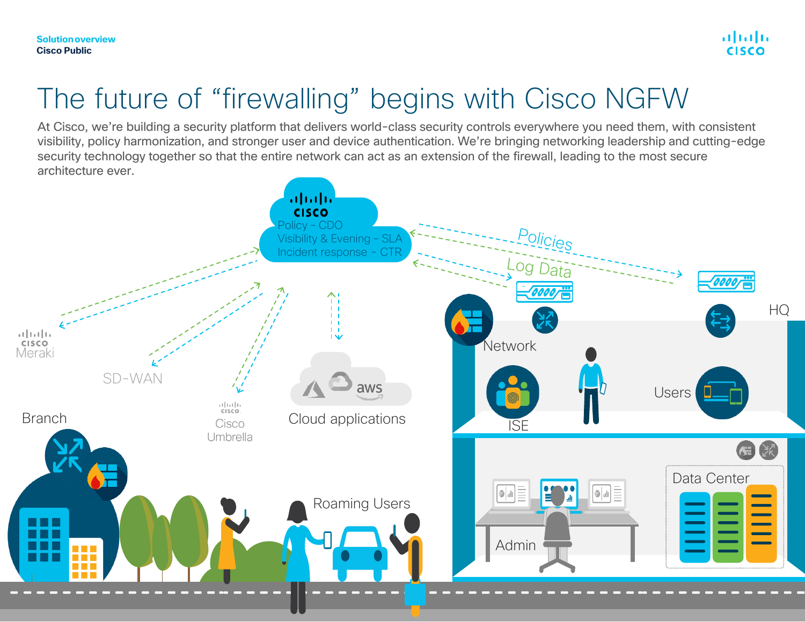### The future of "firewalling" begins with Cisco NGFW

At Cisco, we're building a security platform that delivers world-class security controls everywhere you need them, with consistent visibility, policy harmonization, and stronger user and device authentication. We're bringing networking leadership and cutting-edge security technology together so that the entire network can act as an extension of the firewall, leading to the most secure architecture ever.